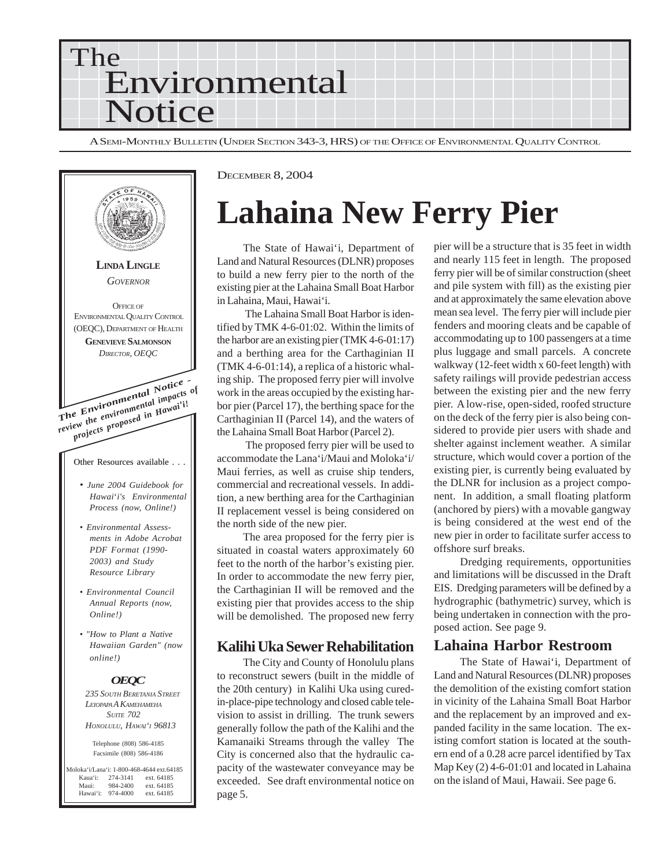



## **Lahaina New Ferry Pier**

The State of Hawai'i, Department of Land and Natural Resources (DLNR) proposes to build a new ferry pier to the north of the existing pier at the Lahaina Small Boat Harbor in Lahaina, Maui, Hawai'i.

 The Lahaina Small Boat Harbor is identified by TMK 4-6-01:02. Within the limits of the harbor are an existing pier (TMK 4-6-01:17) and a berthing area for the Carthaginian II (TMK 4-6-01:14), a replica of a historic whaling ship. The proposed ferry pier will involve work in the areas occupied by the existing harbor pier (Parcel 17), the berthing space for the Carthaginian II (Parcel 14), and the waters of the Lahaina Small Boat Harbor (Parcel 2).

 The proposed ferry pier will be used to accommodate the Lana'i/Maui and Moloka'i/ Maui ferries, as well as cruise ship tenders, commercial and recreational vessels. In addition, a new berthing area for the Carthaginian II replacement vessel is being considered on the north side of the new pier.

The area proposed for the ferry pier is situated in coastal waters approximately 60 feet to the north of the harbor's existing pier. In order to accommodate the new ferry pier, the Carthaginian II will be removed and the existing pier that provides access to the ship will be demolished. The proposed new ferry

### **Kalihi Uka Sewer Rehabilitation**

The City and County of Honolulu plans to reconstruct sewers (built in the middle of the 20th century) in Kalihi Uka using curedin-place-pipe technology and closed cable television to assist in drilling. The trunk sewers generally follow the path of the Kalihi and the Kamanaiki Streams through the valley The City is concerned also that the hydraulic capacity of the wastewater conveyance may be exceeded. See draft environmental notice on page 5.

pier will be a structure that is 35 feet in width and nearly 115 feet in length. The proposed ferry pier will be of similar construction (sheet and pile system with fill) as the existing pier and at approximately the same elevation above mean sea level. The ferry pier will include pier fenders and mooring cleats and be capable of accommodating up to 100 passengers at a time plus luggage and small parcels. A concrete walkway (12-feet width x 60-feet length) with safety railings will provide pedestrian access between the existing pier and the new ferry pier. A low-rise, open-sided, roofed structure on the deck of the ferry pier is also being considered to provide pier users with shade and shelter against inclement weather. A similar structure, which would cover a portion of the existing pier, is currently being evaluated by the DLNR for inclusion as a project component. In addition, a small floating platform (anchored by piers) with a movable gangway is being considered at the west end of the new pier in order to facilitate surfer access to offshore surf breaks.

Dredging requirements, opportunities and limitations will be discussed in the Draft EIS. Dredging parameters will be defined by a hydrographic (bathymetric) survey, which is being undertaken in connection with the proposed action. See page 9.

### **Lahaina Harbor Restroom**

The State of Hawai'i, Department of Land and Natural Resources (DLNR) proposes the demolition of the existing comfort station in vicinity of the Lahaina Small Boat Harbor and the replacement by an improved and expanded facility in the same location. The existing comfort station is located at the southern end of a 0.28 acre parcel identified by Tax Map Key (2) 4-6-01:01 and located in Lahaina on the island of Maui, Hawaii. See page 6.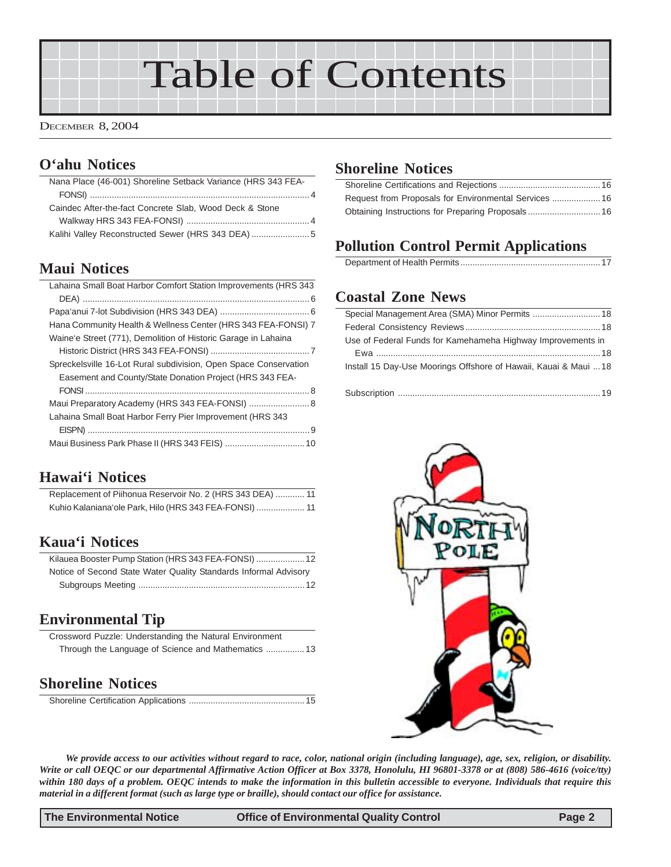# Table of Contents

### DECEMBER 8, 2004

### **O'ahu Notices**

| Nana Place (46-001) Shoreline Setback Variance (HRS 343 FEA- |  |
|--------------------------------------------------------------|--|
|                                                              |  |
| Caindec After-the-fact Concrete Slab, Wood Deck & Stone      |  |
|                                                              |  |
| Kalihi Valley Reconstructed Sewer (HRS 343 DEA)              |  |
|                                                              |  |

### **Maui Notices**

| Lahaina Small Boat Harbor Comfort Station Improvements (HRS 343  |
|------------------------------------------------------------------|
|                                                                  |
|                                                                  |
| Hana Community Health & Wellness Center (HRS 343 FEA-FONSI) 7    |
| Waine'e Street (771), Demolition of Historic Garage in Lahaina   |
|                                                                  |
| Spreckelsville 16-Lot Rural subdivision, Open Space Conservation |
| Easement and County/State Donation Project (HRS 343 FEA-         |
|                                                                  |
|                                                                  |
| Lahaina Small Boat Harbor Ferry Pier Improvement (HRS 343        |
|                                                                  |
|                                                                  |
|                                                                  |

### **[Hawai'i Notices](#page-10-0)**

| Replacement of Piihonua Reservoir No. 2 (HRS 343 DEA)  11 |  |
|-----------------------------------------------------------|--|
| Kuhio Kalaniana'ole Park, Hilo (HRS 343 FEA-FONSI)  11    |  |

### **Kaua'i Notices**

| Kilauea Booster Pump Station (HRS 343 FEA-FONSI)  12             |  |
|------------------------------------------------------------------|--|
| Notice of Second State Water Quality Standards Informal Advisory |  |
|                                                                  |  |

### **Environmental Tip**

| Crossword Puzzle: Understanding the Natural Environment |  |  |
|---------------------------------------------------------|--|--|
|                                                         |  |  |

### **[Shoreline Notices](#page-14-0)**

### **[Shoreline Notices](#page-15-0)**

| Request from Proposals for Environmental Services  16 |  |
|-------------------------------------------------------|--|
| Obtaining Instructions for Preparing Proposals 16     |  |

## **Pollution Control Permit Applications**

## **Coastal Zone News**

| Use of Federal Funds for Kamehameha Highway Improvements in      |
|------------------------------------------------------------------|
|                                                                  |
| Install 15 Day-Use Moorings Offshore of Hawaii, Kauai & Maui  18 |
|                                                                  |



*We provide access to our activities without regard to race, color, national origin (including language), age, sex, religion, or disability. Write or call OEQC or our departmental Affirmative Action Officer at Box 3378, Honolulu, HI 96801-3378 or at (808) 586-4616 (voice/tty) within 180 days of a problem. OEQC intends to make the information in this bulletin accessible to everyone. Individuals that require this material in a different format (such as large type or braille), should contact our office for assistance.*

**The Environmental Notice Office of Environmental Quality Control Page 2**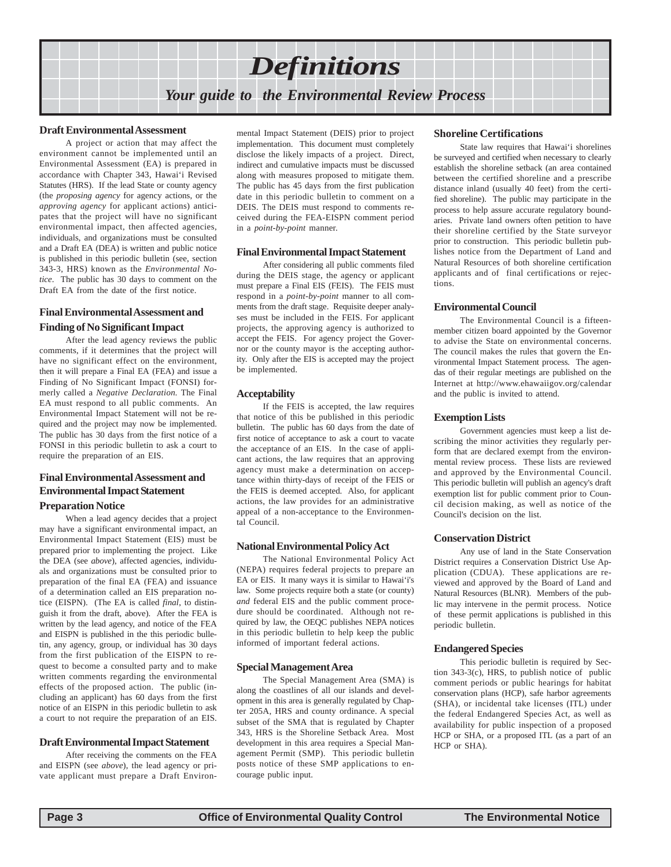## *Definitions Your guide to the Environmental Review Process*

#### **Draft Environmental Assessment**

A project or action that may affect the environment cannot be implemented until an Environmental Assessment (EA) is prepared in accordance with Chapter 343, Hawai'i Revised Statutes (HRS). If the lead State or county agency (the *proposing agency* for agency actions, or the *approving agency* for applicant actions) anticipates that the project will have no significant environmental impact, then affected agencies, individuals, and organizations must be consulted and a Draft EA (DEA) is written and public notice is published in this periodic bulletin (see, section 343-3, HRS) known as the *Environmental Notice*. The public has 30 days to comment on the Draft EA from the date of the first notice.

### **Final Environmental Assessment and Finding of No Significant Impact**

After the lead agency reviews the public comments, if it determines that the project will have no significant effect on the environment, then it will prepare a Final EA (FEA) and issue a Finding of No Significant Impact (FONSI) formerly called a *Negative Declaration.* The Final EA must respond to all public comments. An Environmental Impact Statement will not be required and the project may now be implemented. The public has 30 days from the first notice of a FONSI in this periodic bulletin to ask a court to require the preparation of an EIS.

### **Final Environmental Assessment and Environmental Impact Statement Preparation Notice**

When a lead agency decides that a project may have a significant environmental impact, an Environmental Impact Statement (EIS) must be prepared prior to implementing the project. Like the DEA (see *above*), affected agencies, individuals and organizations must be consulted prior to preparation of the final EA (FEA) and issuance of a determination called an EIS preparation notice (EISPN). (The EA is called *final*, to distinguish it from the draft, above). After the FEA is written by the lead agency, and notice of the FEA and EISPN is published in the this periodic bulletin, any agency, group, or individual has 30 days from the first publication of the EISPN to request to become a consulted party and to make written comments regarding the environmental effects of the proposed action. The public (including an applicant) has 60 days from the first notice of an EISPN in this periodic bulletin to ask a court to not require the preparation of an EIS.

#### **Draft Environmental Impact Statement**

After receiving the comments on the FEA and EISPN (see *above*), the lead agency or private applicant must prepare a Draft Environ-

mental Impact Statement (DEIS) prior to project implementation. This document must completely disclose the likely impacts of a project. Direct, indirect and cumulative impacts must be discussed along with measures proposed to mitigate them. The public has 45 days from the first publication date in this periodic bulletin to comment on a DEIS. The DEIS must respond to comments received during the FEA-EISPN comment period in a *point-by-point* manner.

#### **Final Environmental Impact Statement**

After considering all public comments filed during the DEIS stage, the agency or applicant must prepare a Final EIS (FEIS). The FEIS must respond in a *point-by-point* manner to all comments from the draft stage. Requisite deeper analyses must be included in the FEIS. For applicant projects, the approving agency is authorized to accept the FEIS. For agency project the Governor or the county mayor is the accepting authority. Only after the EIS is accepted may the project be implemented.

#### **Acceptability**

If the FEIS is accepted, the law requires that notice of this be published in this periodic bulletin. The public has 60 days from the date of first notice of acceptance to ask a court to vacate the acceptance of an EIS. In the case of applicant actions, the law requires that an approving agency must make a determination on acceptance within thirty-days of receipt of the FEIS or the FEIS is deemed accepted. Also, for applicant actions, the law provides for an administrative appeal of a non-acceptance to the Environmental Council.

### **National Environmental Policy Act**

The National Environmental Policy Act (NEPA) requires federal projects to prepare an EA or EIS. It many ways it is similar to Hawai'i's law. Some projects require both a state (or county) *and* federal EIS and the public comment procedure should be coordinated. Although not required by law, the OEQC publishes NEPA notices in this periodic bulletin to help keep the public informed of important federal actions.

#### **Special Management Area**

The Special Management Area (SMA) is along the coastlines of all our islands and development in this area is generally regulated by Chapter 205A, HRS and county ordinance. A special subset of the SMA that is regulated by Chapter 343, HRS is the Shoreline Setback Area. Most development in this area requires a Special Management Permit (SMP). This periodic bulletin posts notice of these SMP applications to encourage public input.

#### **Shoreline Certifications**

State law requires that Hawai'i shorelines be surveyed and certified when necessary to clearly establish the shoreline setback (an area contained between the certified shoreline and a prescribe distance inland (usually 40 feet) from the certified shoreline). The public may participate in the process to help assure accurate regulatory boundaries. Private land owners often petition to have their shoreline certified by the State surveyor prior to construction. This periodic bulletin publishes notice from the Department of Land and Natural Resources of both shoreline certification applicants and of final certifications or rejections.

#### **Environmental Council**

The Environmental Council is a fifteenmember citizen board appointed by the Governor to advise the State on environmental concerns. The council makes the rules that govern the Environmental Impact Statement process. The agendas of their regular meetings are published on the Internet at http://www.ehawaiigov.org/calendar and the public is invited to attend.

#### **Exemption Lists**

Government agencies must keep a list describing the minor activities they regularly perform that are declared exempt from the environmental review process. These lists are reviewed and approved by the Environmental Council. This periodic bulletin will publish an agency's draft exemption list for public comment prior to Council decision making, as well as notice of the Council's decision on the list.

#### **Conservation District**

Any use of land in the State Conservation District requires a Conservation District Use Application (CDUA). These applications are reviewed and approved by the Board of Land and Natural Resources (BLNR). Members of the public may intervene in the permit process. Notice of these permit applications is published in this periodic bulletin.

#### **Endangered Species**

This periodic bulletin is required by Section 343-3(c), HRS, to publish notice of public comment periods or public hearings for habitat conservation plans (HCP), safe harbor agreements (SHA), or incidental take licenses (ITL) under the federal Endangered Species Act, as well as availability for public inspection of a proposed HCP or SHA, or a proposed ITL (as a part of an HCP or SHA).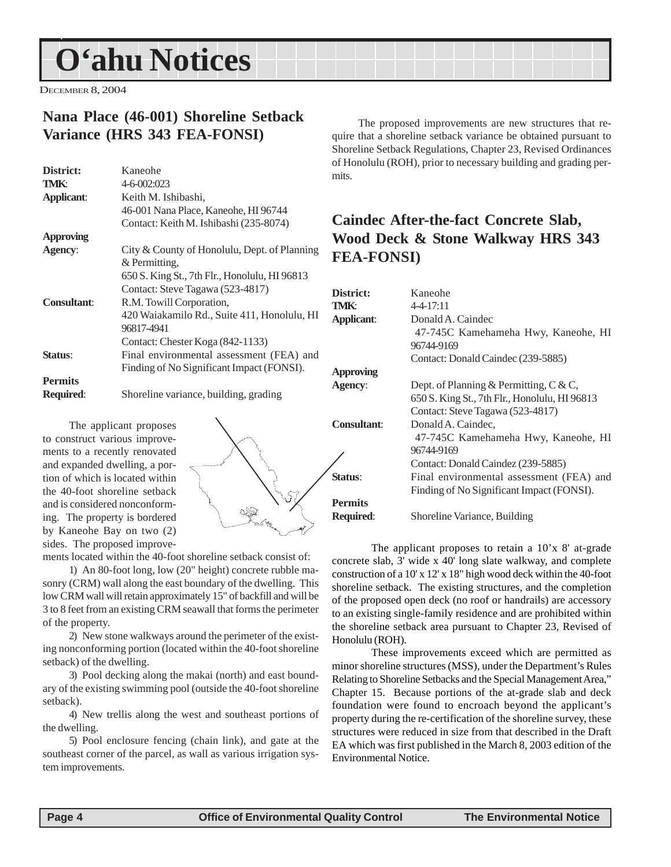## <span id="page-3-0"></span>**O'ahu Notices O'ahu Notices**

DECEMBER 8, 2004

### **Nana Place (46-001) Shoreline Setback Variance (HRS 343 FEA-FONSI)**

| Kaneohe                                       |
|-----------------------------------------------|
| 4-6-002:023                                   |
| Keith M. Ishibashi,                           |
| 46-001 Nana Place, Kaneohe, HI 96744          |
| Contact: Keith M. Ishibashi (235-8074)        |
|                                               |
| City & County of Honolulu, Dept. of Planning  |
| & Permitting.                                 |
| 650 S. King St., 7th Flr., Honolulu, HI 96813 |
| Contact: Steve Tagawa (523-4817)              |
| R.M. Towill Corporation,                      |
| 420 Waiakamilo Rd., Suite 411, Honolulu, HI   |
| 96817-4941                                    |
| Contact: Chester Koga (842-1133)              |
| Final environmental assessment (FEA) and      |
| Finding of No Significant Impact (FONSI).     |
|                                               |
| Shoreline variance, building, grading         |
|                                               |

The applicant proposes to construct various improvements to a recently renovated and expanded dwelling, a portion of which is located within the 40-foot shoreline setback and is considered nonconforming. The property is bordered by Kaneohe Bay on two (2) sides. The proposed improve-



ments located within the 40-foot shoreline setback consist of:

1) An 80-foot long, low (20" height) concrete rubble masonry (CRM) wall along the east boundary of the dwelling. This low CRM wall will retain approximately 15" of backfill and will be 3 to 8 feet from an existing CRM seawall that forms the perimeter of the property.

2) New stone walkways around the perimeter of the existing nonconforming portion (located within the 40-foot shoreline setback) of the dwelling.

3) Pool decking along the makai (north) and east boundary of the existing swimming pool (outside the 40-foot shoreline setback).

4) New trellis along the west and southeast portions of the dwelling.

5) Pool enclosure fencing (chain link), and gate at the southeast corner of the parcel, as wall as various irrigation system improvements.

The proposed improvements are new structures that require that a shoreline setback variance be obtained pursuant to Shoreline Setback Regulations, Chapter 23, Revised Ordinances of Honolulu (ROH), prior to necessary building and grading permits.

### **Caindec After-the-fact Concrete Slab, Wood Deck & Stone Walkway HRS 343 FEA-FONSI)**

| District:          | Kaneohe                                       |
|--------------------|-----------------------------------------------|
| TMK:               | $4 - 4 - 17:11$                               |
| <b>Applicant:</b>  | Donald A. Caindec                             |
|                    | 47-745C Kamehameha Hwy, Kaneohe, HI           |
|                    | 96744-9169                                    |
|                    | Contact: Donald Caindec (239-5885)            |
| <b>Approving</b>   |                                               |
| Agency:            | Dept. of Planning & Permitting, $C & C$ ,     |
|                    | 650 S. King St., 7th Flr., Honolulu, HI 96813 |
|                    | Contact: Steve Tagawa (523-4817)              |
| <b>Consultant:</b> | Donald A. Caindec,                            |
|                    | 47-745C Kamehameha Hwy, Kaneohe, HI           |
|                    | 96744-9169                                    |
|                    | Contact: Donald Caindez (239-5885)            |
| Status:            | Final environmental assessment (FEA) and      |
|                    | Finding of No Significant Impact (FONSI).     |
| <b>Permits</b>     |                                               |
| <b>Required:</b>   | Shoreline Variance, Building                  |
|                    |                                               |

The applicant proposes to retain a 10'x 8' at-grade concrete slab, 3' wide x 40' long slate walkway, and complete construction of a 10' x 12' x 18" high wood deck within the 40-foot shoreline setback. The existing structures, and the completion of the proposed open deck (no roof or handrails) are accessory to an existing single-family residence and are prohibited within the shoreline setback area pursuant to Chapter 23, Revised of Honolulu (ROH).

These improvements exceed which are permitted as minor shoreline structures (MSS), under the Department's Rules Relating to Shoreline Setbacks and the Special Management Area," Chapter 15. Because portions of the at-grade slab and deck foundation were found to encroach beyond the applicant's property during the re-certification of the shoreline survey, these structures were reduced in size from that described in the Draft EA which was first published in the March 8, 2003 edition of the Environmental Notice.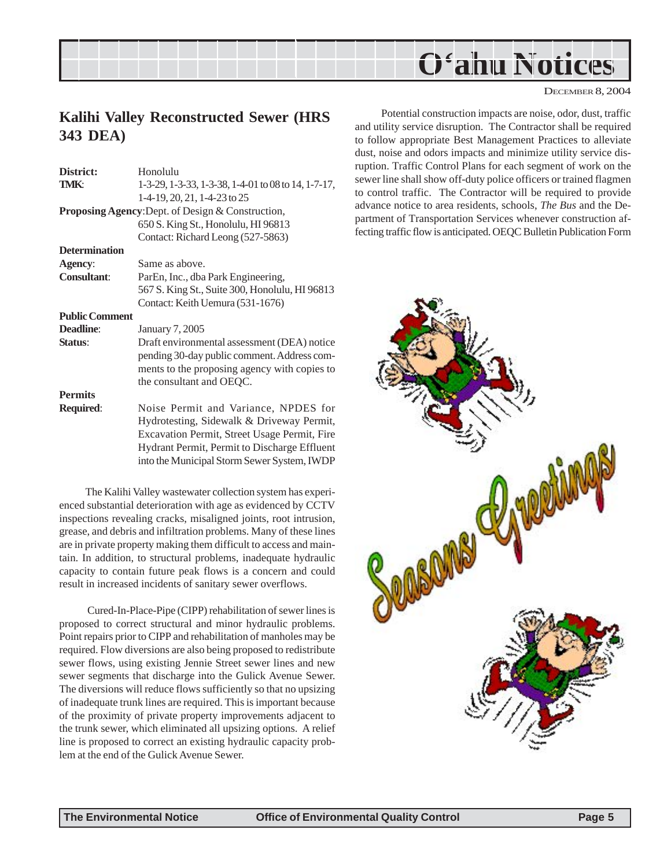<span id="page-4-0"></span>

### **Kalihi Valley Reconstructed Sewer (HRS 343 DEA)**

| District:             | Honolulu                                                 | 1 |
|-----------------------|----------------------------------------------------------|---|
| TMK:                  | 1-3-29, 1-3-33, 1-3-38, 1-4-01 to 08 to 14, 1-7-17,      | š |
|                       | $1-4-19$ , 20, 21, 1-4-23 to 25                          |   |
|                       | <b>Proposing Agency:</b> Dept. of Design & Construction, |   |
|                       | 650 S. King St., Honolulu, HI 96813                      |   |
|                       | Contact: Richard Leong (527-5863)                        |   |
| <b>Determination</b>  |                                                          |   |
| Agency:               | Same as above.                                           |   |
| <b>Consultant:</b>    | ParEn, Inc., dba Park Engineering,                       |   |
|                       | 567 S. King St., Suite 300, Honolulu, HI 96813           |   |
|                       | Contact: Keith Uemura (531-1676)                         |   |
| <b>Public Comment</b> |                                                          |   |
| Deadline:             | January 7, 2005                                          |   |
| Status:               | Draft environmental assessment (DEA) notice              |   |
|                       | pending 30-day public comment. Address com-              |   |
|                       | ments to the proposing agency with copies to             |   |
|                       | the consultant and OEQC.                                 |   |
| <b>Permits</b>        |                                                          |   |
|                       |                                                          |   |
| <b>Required:</b>      | Noise Permit and Variance, NPDES for                     |   |
|                       | Hydrotesting, Sidewalk & Driveway Permit,                |   |
|                       | Excavation Permit, Street Usage Permit, Fire             |   |
|                       | Hydrant Permit, Permit to Discharge Effluent             |   |
|                       | into the Municipal Storm Sewer System, IWDP              |   |
|                       |                                                          |   |

The Kalihi Valley wastewater collection system has experienced substantial deterioration with age as evidenced by CCTV inspections revealing cracks, misaligned joints, root intrusion, grease, and debris and infiltration problems. Many of these lines are in private property making them difficult to access and maintain. In addition, to structural problems, inadequate hydraulic capacity to contain future peak flows is a concern and could result in increased incidents of sanitary sewer overflows.

 Cured-In-Place-Pipe (CIPP) rehabilitation of sewer lines is proposed to correct structural and minor hydraulic problems. Point repairs prior to CIPP and rehabilitation of manholes may be required. Flow diversions are also being proposed to redistribute sewer flows, using existing Jennie Street sewer lines and new sewer segments that discharge into the Gulick Avenue Sewer. The diversions will reduce flows sufficiently so that no upsizing of inadequate trunk lines are required. This is important because of the proximity of private property improvements adjacent to the trunk sewer, which eliminated all upsizing options. A relief line is proposed to correct an existing hydraulic capacity problem at the end of the Gulick Avenue Sewer.

Potential construction impacts are noise, odor, dust, traffic and utility service disruption. The Contractor shall be required to follow appropriate Best Management Practices to alleviate dust, noise and odors impacts and minimize utility service disruption. Traffic Control Plans for each segment of work on the sewer line shall show off-duty police officers or trained flagmen to control traffic. The Contractor will be required to provide advance notice to area residents, schools, *The Bus* and the Department of Transportation Services whenever construction affecting traffic flow is anticipated. OEQC Bulletin Publication Form

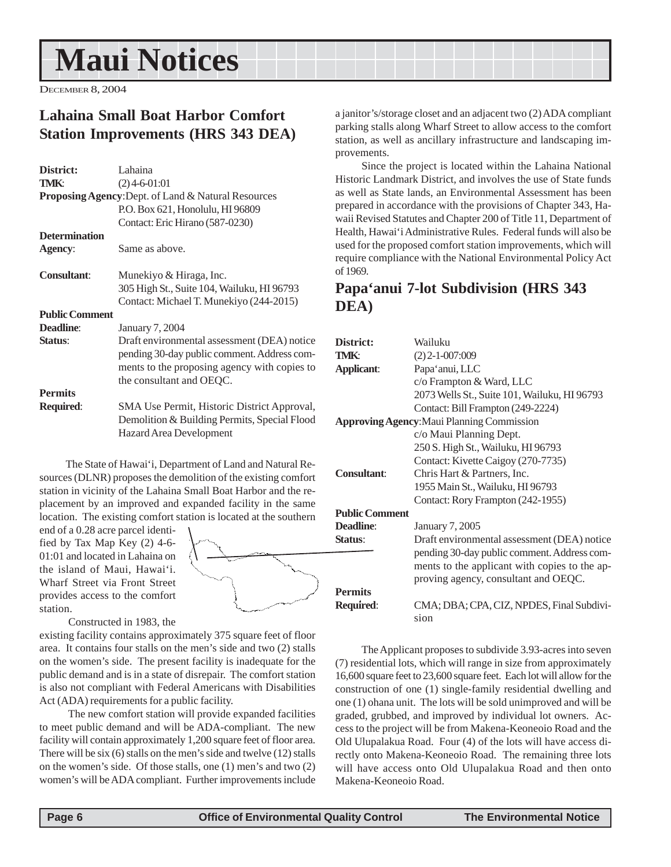## <span id="page-5-0"></span>**Maui Notices**

DECEMBER 8, 2004

### **Lahaina Small Boat Harbor Comfort Station Improvements (HRS 343 DEA)**

| District:             | Lahaina                                             |
|-----------------------|-----------------------------------------------------|
| <b>TMK:</b>           | $(2)$ 4-6-01:01                                     |
|                       | Proposing Agency: Dept. of Land & Natural Resources |
|                       | P.O. Box 621, Honolulu, HI 96809                    |
|                       | Contact: Eric Hirano (587-0230)                     |
| <b>Determination</b>  |                                                     |
| Agency:               | Same as above.                                      |
| <b>Consultant:</b>    | Munekiyo & Hiraga, Inc.                             |
|                       | 305 High St., Suite 104, Wailuku, HI 96793          |
|                       | Contact: Michael T. Munekiyo (244-2015)             |
| <b>Public Comment</b> |                                                     |
| Deadline:             | January 7, 2004                                     |
| Status:               | Draft environmental assessment (DEA) notice         |
|                       | pending 30-day public comment. Address com-         |
|                       | ments to the proposing agency with copies to        |
|                       | the consultant and OEQC.                            |
| <b>Permits</b>        |                                                     |
| <b>Required:</b>      | SMA Use Permit, Historic District Approval,         |
|                       | Demolition & Building Permits, Special Flood        |
|                       | <b>Hazard Area Development</b>                      |

The State of Hawai'i, Department of Land and Natural Resources (DLNR) proposes the demolition of the existing comfort station in vicinity of the Lahaina Small Boat Harbor and the replacement by an improved and expanded facility in the same location. The existing comfort station is located at the southern

end of a 0.28 acre parcel identified by Tax Map Key (2) 4-6- 01:01 and located in Lahaina on the island of Maui, Hawai'i. Wharf Street via Front Street provides access to the comfort station.



Constructed in 1983, the

existing facility contains approximately 375 square feet of floor area. It contains four stalls on the men's side and two (2) stalls on the women's side. The present facility is inadequate for the public demand and is in a state of disrepair. The comfort station is also not compliant with Federal Americans with Disabilities Act (ADA) requirements for a public facility.

 The new comfort station will provide expanded facilities to meet public demand and will be ADA-compliant. The new facility will contain approximately 1,200 square feet of floor area. There will be six (6) stalls on the men's side and twelve (12) stalls on the women's side. Of those stalls, one (1) men's and two (2) women's will be ADA compliant. Further improvements include

a janitor's/storage closet and an adjacent two (2) ADA compliant parking stalls along Wharf Street to allow access to the comfort station, as well as ancillary infrastructure and landscaping improvements.

Since the project is located within the Lahaina National Historic Landmark District, and involves the use of State funds as well as State lands, an Environmental Assessment has been prepared in accordance with the provisions of Chapter 343, Hawaii Revised Statutes and Chapter 200 of Title 11, Department of Health, Hawai'i Administrative Rules. Federal funds will also be used for the proposed comfort station improvements, which will require compliance with the National Environmental Policy Act of 1969.

### **Papa'anui 7-lot Subdivision (HRS 343 DEA)**

| District:             | Wailuku                                           |
|-----------------------|---------------------------------------------------|
| TMK:                  | $(2)$ 2-1-007:009                                 |
| <b>Applicant:</b>     | Papa'anui, LLC                                    |
|                       | c/o Frampton & Ward, LLC                          |
|                       | 2073 Wells St., Suite 101, Wailuku, HI 96793      |
|                       | Contact: Bill Frampton (249-2224)                 |
|                       | <b>Approving Agency: Maui Planning Commission</b> |
|                       | c/o Maui Planning Dept.                           |
|                       | 250 S. High St., Wailuku, HI 96793                |
|                       | Contact: Kivette Caigoy (270-7735)                |
| <b>Consultant:</b>    | Chris Hart & Partners, Inc.                       |
|                       | 1955 Main St., Wailuku, HI 96793                  |
|                       | Contact: Rory Frampton (242-1955)                 |
| <b>Public Comment</b> |                                                   |
| Deadline:             | January 7, 2005                                   |
| Status:               | Draft environmental assessment (DEA) notice       |
|                       | pending 30-day public comment. Address com-       |
|                       | ments to the applicant with copies to the ap-     |
|                       | proving agency, consultant and OEQC.              |
| <b>Permits</b>        |                                                   |
| Required:             | CMA; DBA; CPA, CIZ, NPDES, Final Subdivi-         |
|                       | sion                                              |
|                       |                                                   |

The Applicant proposes to subdivide 3.93-acres into seven (7) residential lots, which will range in size from approximately 16,600 square feet to 23,600 square feet. Each lot will allow for the construction of one (1) single-family residential dwelling and one (1) ohana unit. The lots will be sold unimproved and will be graded, grubbed, and improved by individual lot owners. Access to the project will be from Makena-Keoneoio Road and the Old Ulupalakua Road. Four (4) of the lots will have access directly onto Makena-Keoneoio Road. The remaining three lots will have access onto Old Ulupalakua Road and then onto Makena-Keoneoio Road.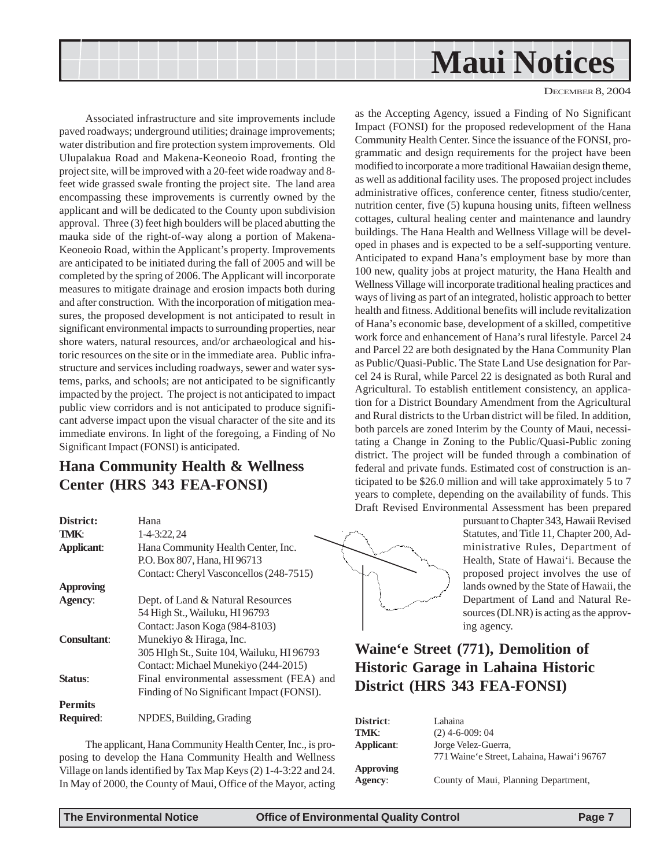<span id="page-6-0"></span>

Associated infrastructure and site improvements include paved roadways; underground utilities; drainage improvements; water distribution and fire protection system improvements. Old Ulupalakua Road and Makena-Keoneoio Road, fronting the project site, will be improved with a 20-feet wide roadway and 8 feet wide grassed swale fronting the project site. The land area encompassing these improvements is currently owned by the applicant and will be dedicated to the County upon subdivision approval. Three (3) feet high boulders will be placed abutting the mauka side of the right-of-way along a portion of Makena-Keoneoio Road, within the Applicant's property. Improvements are anticipated to be initiated during the fall of 2005 and will be completed by the spring of 2006. The Applicant will incorporate measures to mitigate drainage and erosion impacts both during and after construction. With the incorporation of mitigation measures, the proposed development is not anticipated to result in significant environmental impacts to surrounding properties, near shore waters, natural resources, and/or archaeological and historic resources on the site or in the immediate area. Public infrastructure and services including roadways, sewer and water systems, parks, and schools; are not anticipated to be significantly impacted by the project. The project is not anticipated to impact public view corridors and is not anticipated to produce significant adverse impact upon the visual character of the site and its immediate environs. In light of the foregoing, a Finding of No Significant Impact (FONSI) is anticipated.

## **Hana Community Health & Wellness Center (HRS 343 FEA-FONSI)**

| District:          | Hana                                       |
|--------------------|--------------------------------------------|
| <b>TMK:</b>        | 1-4-3:22, 24                               |
| <b>Applicant:</b>  | Hana Community Health Center, Inc.         |
|                    | P.O. Box 807, Hana, HI 96713               |
|                    | Contact: Cheryl Vasconcellos (248-7515)    |
| <b>Approving</b>   |                                            |
| Agency:            | Dept. of Land & Natural Resources          |
|                    | 54 High St., Wailuku, HI 96793             |
|                    | Contact: Jason Koga (984-8103)             |
| <b>Consultant:</b> | Munekiyo & Hiraga, Inc.                    |
|                    | 305 HIgh St., Suite 104, Wailuku, HI 96793 |
|                    | Contact: Michael Munekiyo (244-2015)       |
| Status:            | Final environmental assessment (FEA) and   |
|                    | Finding of No Significant Impact (FONSI).  |
| <b>Permits</b>     |                                            |
| <b>Required:</b>   | NPDES, Building, Grading                   |

The applicant, Hana Community Health Center, Inc., is proposing to develop the Hana Community Health and Wellness Village on lands identified by Tax Map Keys (2) 1-4-3:22 and 24. In May of 2000, the County of Maui, Office of the Mayor, acting as the Accepting Agency, issued a Finding of No Significant Impact (FONSI) for the proposed redevelopment of the Hana Community Health Center. Since the issuance of the FONSI, programmatic and design requirements for the project have been modified to incorporate a more traditional Hawaiian design theme, as well as additional facility uses. The proposed project includes administrative offices, conference center, fitness studio/center, nutrition center, five (5) kupuna housing units, fifteen wellness cottages, cultural healing center and maintenance and laundry buildings. The Hana Health and Wellness Village will be developed in phases and is expected to be a self-supporting venture. Anticipated to expand Hana's employment base by more than 100 new, quality jobs at project maturity, the Hana Health and Wellness Village will incorporate traditional healing practices and ways of living as part of an integrated, holistic approach to better health and fitness. Additional benefits will include revitalization of Hana's economic base, development of a skilled, competitive work force and enhancement of Hana's rural lifestyle. Parcel 24 and Parcel 22 are both designated by the Hana Community Plan as Public/Quasi-Public. The State Land Use designation for Parcel 24 is Rural, while Parcel 22 is designated as both Rural and Agricultural. To establish entitlement consistency, an application for a District Boundary Amendment from the Agricultural and Rural districts to the Urban district will be filed. In addition, both parcels are zoned Interim by the County of Maui, necessitating a Change in Zoning to the Public/Quasi-Public zoning district. The project will be funded through a combination of federal and private funds. Estimated cost of construction is anticipated to be \$26.0 million and will take approximately 5 to 7 years to complete, depending on the availability of funds. This Draft Revised Environmental Assessment has been prepared



pursuant to Chapter 343, Hawaii Revised Statutes, and Title 11, Chapter 200, Administrative Rules, Department of Health, State of Hawai'i. Because the proposed project involves the use of lands owned by the State of Hawaii, the Department of Land and Natural Resources (DLNR) is acting as the approving agency.

## **Waine'e Street (771), Demolition of Historic Garage in Lahaina Historic District (HRS 343 FEA-FONSI)**

| District:  | Lahaina                                      |
|------------|----------------------------------------------|
| TMK:       | $(2)$ 4-6-009: 04                            |
| Applicant: | Jorge Velez-Guerra,                          |
|            | 771 Waine 'e Street, Lahaina, Hawai 'i 96767 |
| Approving  |                                              |
| Agency:    | County of Maui, Planning Department,         |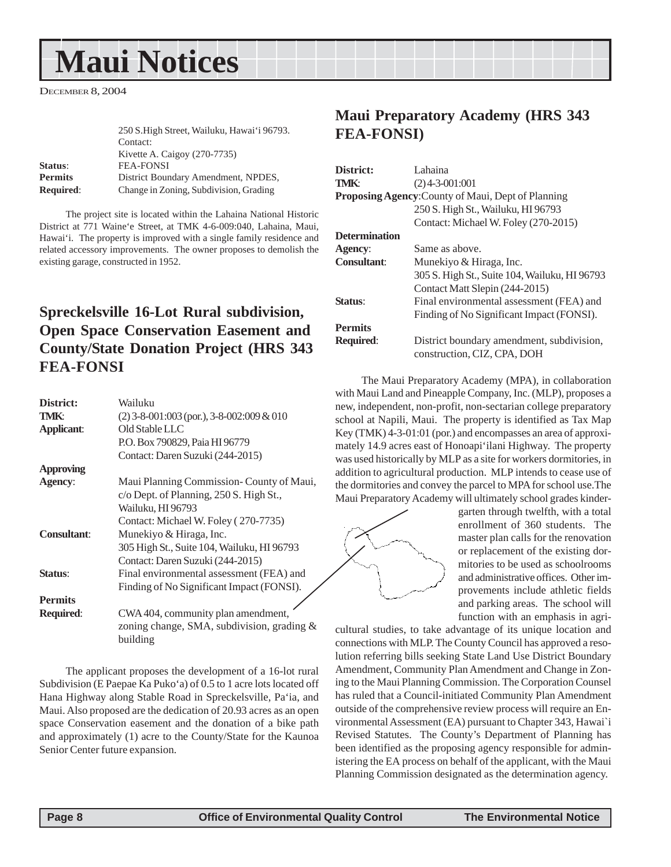## <span id="page-7-0"></span>**Maui Notices**

DECEMBER 8, 2004

|                  | 250 S. High Street, Wailuku, Hawai'i 96793.<br>Contact: |
|------------------|---------------------------------------------------------|
|                  | Kivette A. Caigoy $(270-7735)$                          |
| Status:          | <b>FEA-FONSI</b>                                        |
| <b>Permits</b>   | District Boundary Amendment, NPDES,                     |
| <b>Required:</b> | Change in Zoning, Subdivision, Grading                  |

The project site is located within the Lahaina National Historic District at 771 Waine'e Street, at TMK 4-6-009:040, Lahaina, Maui, Hawai'i. The property is improved with a single family residence and related accessory improvements. The owner proposes to demolish the existing garage, constructed in 1952.

## **Spreckelsville 16-Lot Rural subdivision, Open Space Conservation Easement and County/State Donation Project (HRS 343 FEA-FONSI**

| District:          | Wailuku                                     |
|--------------------|---------------------------------------------|
| TMK:               | $(2)$ 3-8-001:003 (por.), 3-8-002:009 & 010 |
| <b>Applicant:</b>  | Old Stable LLC                              |
|                    | P.O. Box 790829, Paia HI 96779              |
|                    | Contact: Daren Suzuki (244-2015)            |
| <b>Approving</b>   |                                             |
| Agency:            | Maui Planning Commission- County of Maui,   |
|                    | c/o Dept. of Planning, 250 S. High St.,     |
|                    | Wailuku, HI 96793                           |
|                    | Contact: Michael W. Foley (270-7735)        |
| <b>Consultant:</b> | Munekiyo & Hiraga, Inc.                     |
|                    | 305 High St., Suite 104, Wailuku, HI 96793  |
|                    | Contact: Daren Suzuki (244-2015)            |
| Status:            | Final environmental assessment (FEA) and    |
|                    | Finding of No Significant Impact (FONSI).   |
| <b>Permits</b>     |                                             |
| <b>Required:</b>   | CWA 404, community plan amendment,          |
|                    | zoning change, SMA, subdivision, grading &  |
|                    | building                                    |

The applicant proposes the development of a 16-lot rural Subdivision (E Paepae Ka Puko'a) of 0.5 to 1 acre lots located off Hana Highway along Stable Road in Spreckelsville, Pa'ia, and Maui. Also proposed are the dedication of 20.93 acres as an open space Conservation easement and the donation of a bike path and approximately (1) acre to the County/State for the Kaunoa Senior Center future expansion.

### **Maui Preparatory Academy (HRS 343 FEA-FONSI)**

| District:            | Lahaina                                                   |
|----------------------|-----------------------------------------------------------|
| <b>TMK:</b>          | $(2)$ 4-3-001:001                                         |
|                      | <b>Proposing Agency: County of Maui, Dept of Planning</b> |
|                      | 250 S. High St., Wailuku, HI 96793                        |
|                      | Contact: Michael W. Foley (270-2015)                      |
| <b>Determination</b> |                                                           |
| Agency:              | Same as above.                                            |
| Consultant:          | Munekiyo & Hiraga, Inc.                                   |
|                      | 305 S. High St., Suite 104, Wailuku, HI 96793             |
|                      | Contact Matt Slepin (244-2015)                            |
| Status:              | Final environmental assessment (FEA) and                  |
|                      | Finding of No Significant Impact (FONSI).                 |
| <b>Permits</b>       |                                                           |
| <b>Required:</b>     | District boundary amendment, subdivision,                 |
|                      | construction, CIZ, CPA, DOH                               |

The Maui Preparatory Academy (MPA), in collaboration with Maui Land and Pineapple Company, Inc. (MLP), proposes a new, independent, non-profit, non-sectarian college preparatory school at Napili, Maui. The property is identified as Tax Map Key (TMK) 4-3-01:01 (por.) and encompasses an area of approximately 14.9 acres east of Honoapi'ilani Highway. The property was used historically by MLP as a site for workers dormitories, in addition to agricultural production. MLP intends to cease use of the dormitories and convey the parcel to MPA for school use.The Maui Preparatory Academy will ultimately school grades kinder-



garten through twelfth, with a total enrollment of 360 students. The master plan calls for the renovation or replacement of the existing dormitories to be used as schoolrooms and administrative offices. Other improvements include athletic fields and parking areas. The school will function with an emphasis in agri-

cultural studies, to take advantage of its unique location and connections with MLP. The County Council has approved a resolution referring bills seeking State Land Use District Boundary Amendment, Community Plan Amendment and Change in Zoning to the Maui Planning Commission. The Corporation Counsel has ruled that a Council-initiated Community Plan Amendment outside of the comprehensive review process will require an Environmental Assessment (EA) pursuant to Chapter 343, Hawai`i Revised Statutes. The County's Department of Planning has been identified as the proposing agency responsible for administering the EA process on behalf of the applicant, with the Maui Planning Commission designated as the determination agency.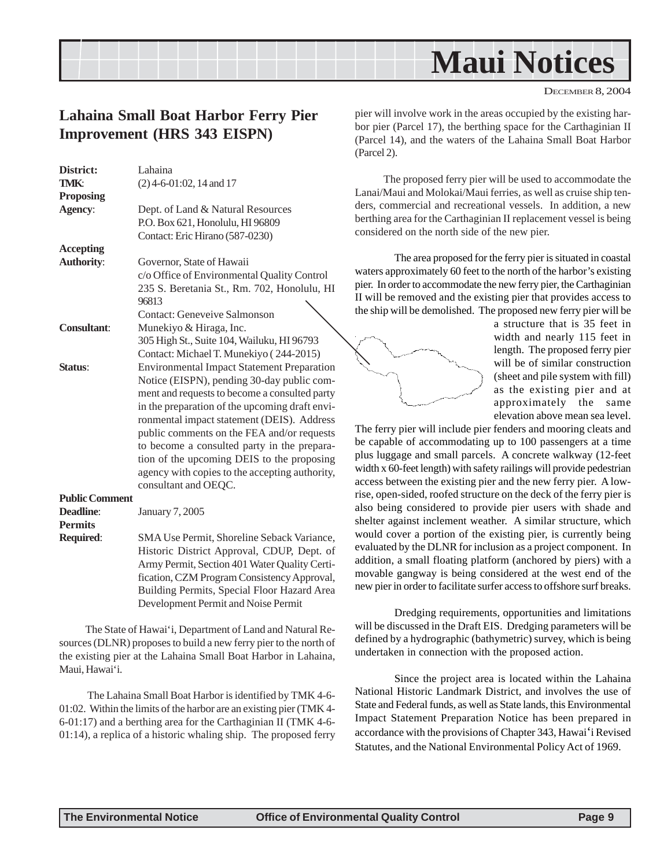<span id="page-8-0"></span>

DECEMBER 8, 2004

### **Lahaina Small Boat Harbor Ferry Pier Improvement (HRS 343 EISPN)**

| District:             | Lahaina                                           |
|-----------------------|---------------------------------------------------|
| TMK:                  | $(2)$ 4-6-01:02, 14 and 17                        |
| <b>Proposing</b>      |                                                   |
| Agency:               | Dept. of Land & Natural Resources                 |
|                       | P.O. Box 621, Honolulu, HI 96809                  |
|                       | Contact: Eric Hirano (587-0230)                   |
| <b>Accepting</b>      |                                                   |
| <b>Authority:</b>     | Governor, State of Hawaii                         |
|                       | c/o Office of Environmental Quality Control       |
|                       | 235 S. Beretania St., Rm. 702, Honolulu, HI       |
|                       | 96813                                             |
|                       | Contact: Geneveive Salmonson                      |
| <b>Consultant:</b>    | Munekiyo & Hiraga, Inc.                           |
|                       | 305 High St., Suite 104, Wailuku, HI 96793        |
|                       | Contact: Michael T. Munekiyo (244-2015)           |
| Status:               | <b>Environmental Impact Statement Preparation</b> |
|                       | Notice (EISPN), pending 30-day public com-        |
|                       | ment and requests to become a consulted party     |
|                       | in the preparation of the upcoming draft envi-    |
|                       | ronmental impact statement (DEIS). Address        |
|                       | public comments on the FEA and/or requests        |
|                       | to become a consulted party in the prepara-       |
|                       | tion of the upcoming DEIS to the proposing        |
|                       | agency with copies to the accepting authority,    |
|                       | consultant and OEQC.                              |
| <b>Public Comment</b> |                                                   |
| Deadline:             |                                                   |
|                       | <b>January 7, 2005</b>                            |

**Permits Required**: SMA Use Permit, Shoreline Seback Variance, Historic District Approval, CDUP, Dept. of Army Permit, Section 401 Water Quality Certification, CZM Program Consistency Approval, Building Permits, Special Floor Hazard Area Development Permit and Noise Permit

The State of Hawai'i, Department of Land and Natural Resources (DLNR) proposes to build a new ferry pier to the north of the existing pier at the Lahaina Small Boat Harbor in Lahaina, Maui, Hawai'i.

 The Lahaina Small Boat Harbor is identified by TMK 4-6- 01:02. Within the limits of the harbor are an existing pier (TMK 4- 6-01:17) and a berthing area for the Carthaginian II (TMK 4-6- 01:14), a replica of a historic whaling ship. The proposed ferry pier will involve work in the areas occupied by the existing harbor pier (Parcel 17), the berthing space for the Carthaginian II (Parcel 14), and the waters of the Lahaina Small Boat Harbor (Parcel 2).

 The proposed ferry pier will be used to accommodate the Lanai/Maui and Molokai/Maui ferries, as well as cruise ship tenders, commercial and recreational vessels. In addition, a new berthing area for the Carthaginian II replacement vessel is being considered on the north side of the new pier.

The area proposed for the ferry pier is situated in coastal waters approximately 60 feet to the north of the harbor's existing pier. In order to accommodate the new ferry pier, the Carthaginian II will be removed and the existing pier that provides access to the ship will be demolished. The proposed new ferry pier will be



a structure that is 35 feet in width and nearly 115 feet in length. The proposed ferry pier will be of similar construction (sheet and pile system with fill) as the existing pier and at approximately the same elevation above mean sea level.

The ferry pier will include pier fenders and mooring cleats and be capable of accommodating up to 100 passengers at a time plus luggage and small parcels. A concrete walkway (12-feet width x 60-feet length) with safety railings will provide pedestrian access between the existing pier and the new ferry pier. A lowrise, open-sided, roofed structure on the deck of the ferry pier is also being considered to provide pier users with shade and shelter against inclement weather. A similar structure, which would cover a portion of the existing pier, is currently being evaluated by the DLNR for inclusion as a project component. In addition, a small floating platform (anchored by piers) with a movable gangway is being considered at the west end of the new pier in order to facilitate surfer access to offshore surf breaks.

Dredging requirements, opportunities and limitations will be discussed in the Draft EIS. Dredging parameters will be defined by a hydrographic (bathymetric) survey, which is being undertaken in connection with the proposed action.

Since the project area is located within the Lahaina National Historic Landmark District, and involves the use of State and Federal funds, as well as State lands, this Environmental Impact Statement Preparation Notice has been prepared in accordance with the provisions of Chapter 343, Hawai'i Revised Statutes, and the National Environmental Policy Act of 1969.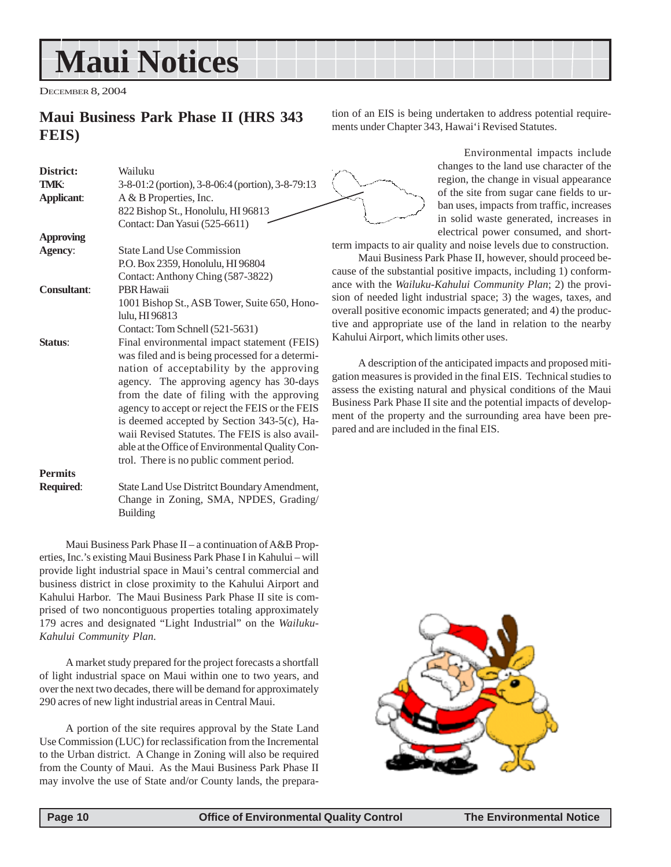## <span id="page-9-0"></span>**Maui Notices**

DECEMBER 8, 2004

### **Maui Business Park Phase II (HRS 343 FEIS)**

| District:<br>TMK:  | Wailuku<br>3-8-01:2 (portion), 3-8-06:4 (portion), 3-8-79:13                                                                                                                                                                                                                                                                                                                                                                                                                             |
|--------------------|------------------------------------------------------------------------------------------------------------------------------------------------------------------------------------------------------------------------------------------------------------------------------------------------------------------------------------------------------------------------------------------------------------------------------------------------------------------------------------------|
| <b>Applicant:</b>  | A & B Properties, Inc.                                                                                                                                                                                                                                                                                                                                                                                                                                                                   |
|                    | 822 Bishop St., Honolulu, HI 96813                                                                                                                                                                                                                                                                                                                                                                                                                                                       |
|                    | Contact: Dan Yasui (525-6611)                                                                                                                                                                                                                                                                                                                                                                                                                                                            |
| <b>Approving</b>   |                                                                                                                                                                                                                                                                                                                                                                                                                                                                                          |
| <b>Agency:</b>     | <b>State Land Use Commission</b>                                                                                                                                                                                                                                                                                                                                                                                                                                                         |
|                    | P.O. Box 2359, Honolulu, HI 96804                                                                                                                                                                                                                                                                                                                                                                                                                                                        |
|                    | Contact: Anthony Ching (587-3822)                                                                                                                                                                                                                                                                                                                                                                                                                                                        |
| <b>Consultant:</b> | <b>PBR Hawaii</b>                                                                                                                                                                                                                                                                                                                                                                                                                                                                        |
|                    | 1001 Bishop St., ASB Tower, Suite 650, Hono-                                                                                                                                                                                                                                                                                                                                                                                                                                             |
|                    | lulu, HI 96813                                                                                                                                                                                                                                                                                                                                                                                                                                                                           |
|                    | Contact: Tom Schnell (521-5631)                                                                                                                                                                                                                                                                                                                                                                                                                                                          |
| Status:            | Final environmental impact statement (FEIS)<br>was filed and is being processed for a determi-<br>nation of acceptability by the approving<br>agency. The approving agency has 30-days<br>from the date of filing with the approving<br>agency to accept or reject the FEIS or the FEIS<br>is deemed accepted by Section 343-5(c), Ha-<br>waii Revised Statutes. The FEIS is also avail-<br>able at the Office of Environmental Quality Con-<br>trol. There is no public comment period. |
| <b>Permits</b>     |                                                                                                                                                                                                                                                                                                                                                                                                                                                                                          |
| Required:          | State Land Use Distritct Boundary Amendment,<br>Change in Zoning, SMA, NPDES, Grading/                                                                                                                                                                                                                                                                                                                                                                                                   |

Maui Business Park Phase II – a continuation of A&B Properties, Inc.'s existing Maui Business Park Phase I in Kahului – will provide light industrial space in Maui's central commercial and business district in close proximity to the Kahului Airport and Kahului Harbor. The Maui Business Park Phase II site is comprised of two noncontiguous properties totaling approximately 179 acres and designated "Light Industrial" on the *Wailuku-Kahului Community Plan*.

Building

A market study prepared for the project forecasts a shortfall of light industrial space on Maui within one to two years, and over the next two decades, there will be demand for approximately 290 acres of new light industrial areas in Central Maui.

A portion of the site requires approval by the State Land Use Commission (LUC) for reclassification from the Incremental to the Urban district. A Change in Zoning will also be required from the County of Maui. As the Maui Business Park Phase II may involve the use of State and/or County lands, the preparation of an EIS is being undertaken to address potential requirements under Chapter 343, Hawai'i Revised Statutes.

> Environmental impacts include changes to the land use character of the region, the change in visual appearance of the site from sugar cane fields to urban uses, impacts from traffic, increases in solid waste generated, increases in electrical power consumed, and short-

term impacts to air quality and noise levels due to construction.

Maui Business Park Phase II, however, should proceed because of the substantial positive impacts, including 1) conformance with the *Wailuku-Kahului Community Plan*; 2) the provision of needed light industrial space; 3) the wages, taxes, and overall positive economic impacts generated; and 4) the productive and appropriate use of the land in relation to the nearby Kahului Airport, which limits other uses.

A description of the anticipated impacts and proposed mitigation measures is provided in the final EIS. Technical studies to assess the existing natural and physical conditions of the Maui Business Park Phase II site and the potential impacts of development of the property and the surrounding area have been prepared and are included in the final EIS.

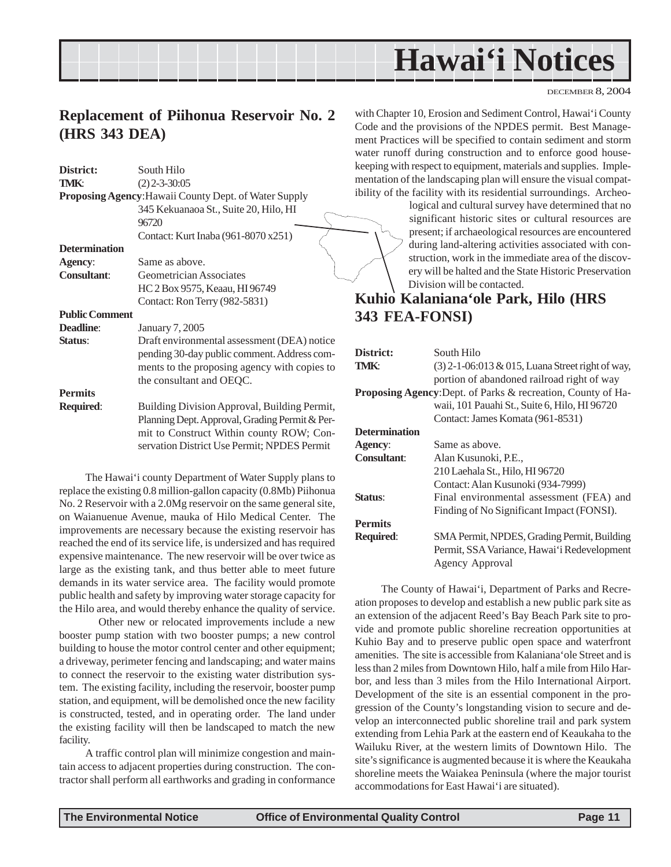## **Hawai'i Notices**

DECEMBER 8, 2004

### <span id="page-10-0"></span>**Replacement of Piihonua Reservoir No. 2 (HRS 343 DEA)**

| District:             | South Hilo                                                   | keeping        |
|-----------------------|--------------------------------------------------------------|----------------|
| TMK:                  | $(2)$ 2-3-30:05                                              | mentat         |
|                       | <b>Proposing Agency: Hawaii County Dept. of Water Supply</b> | ibility        |
|                       | 345 Kekuanaoa St., Suite 20, Hilo, HI                        |                |
|                       | 96720                                                        |                |
|                       | Contact: Kurt Inaba (961-8070 x251)                          |                |
| <b>Determination</b>  |                                                              |                |
| <b>Agency:</b>        | Same as above.                                               |                |
| <b>Consultant:</b>    | Geometrician Associates                                      |                |
|                       | HC 2 Box 9575, Keaau, HI 96749                               |                |
|                       | Contact: Ron Terry (982-5831)                                | Kuh            |
| <b>Public Comment</b> |                                                              | 343            |
| Deadline:             | January 7, 2005                                              |                |
| Status:               | Draft environmental assessment (DEA) notice                  |                |
|                       | pending 30-day public comment. Address com-                  | <b>Distric</b> |
|                       | ments to the proposing agency with copies to                 | TMK:           |
|                       | the consultant and OEQC.                                     |                |
| <b>Permits</b>        |                                                              | Propo:         |
| Required:             | Building Division Approval, Building Permit,                 |                |
|                       | Planning Dept. Approval, Grading Permit & Per-               |                |
|                       | mit to Construct Within county ROW; Con-                     | Detern         |
|                       | servation District Use Permit; NPDES Permit                  | Agency         |

The Hawai'i county Department of Water Supply plans to replace the existing 0.8 million-gallon capacity (0.8Mb) Piihonua No. 2 Reservoir with a 2.0Mg reservoir on the same general site, on Waianuenue Avenue, mauka of Hilo Medical Center. The improvements are necessary because the existing reservoir has reached the end of its service life, is undersized and has required expensive maintenance. The new reservoir will be over twice as large as the existing tank, and thus better able to meet future demands in its water service area. The facility would promote public health and safety by improving water storage capacity for the Hilo area, and would thereby enhance the quality of service.

Other new or relocated improvements include a new booster pump station with two booster pumps; a new control building to house the motor control center and other equipment; a driveway, perimeter fencing and landscaping; and water mains to connect the reservoir to the existing water distribution system. The existing facility, including the reservoir, booster pump station, and equipment, will be demolished once the new facility is constructed, tested, and in operating order. The land under the existing facility will then be landscaped to match the new facility.

A traffic control plan will minimize congestion and maintain access to adjacent properties during construction. The contractor shall perform all earthworks and grading in conformance with Chapter 10, Erosion and Sediment Control, Hawai'i County Code and the provisions of the NPDES permit. Best Management Practices will be specified to contain sediment and storm water runoff during construction and to enforce good houseg with respect to equipment, materials and supplies. Impleion of the landscaping plan will ensure the visual compatof the facility with its residential surroundings. Archeo-

logical and cultural survey have determined that no significant historic sites or cultural resources are present; if archaeological resources are encountered during land-altering activities associated with construction, work in the immediate area of the discovery will be halted and the State Historic Preservation Division will be contacted.

## **Kuhio Kalaniana'ole Park, Hilo (HRS 343 FEA-FONSI)**

| District:            | South Hilo                                                   |
|----------------------|--------------------------------------------------------------|
| TMK:                 | $(3)$ 2-1-06:013 & 015, Luana Street right of way,           |
|                      | portion of abandoned railroad right of way                   |
|                      | Proposing Agency: Dept. of Parks & recreation, County of Ha- |
|                      | waii, 101 Pauahi St., Suite 6, Hilo, HI 96720                |
|                      | Contact: James Komata (961-8531)                             |
| <b>Determination</b> |                                                              |
| Agency:              | Same as above.                                               |
| <b>Consultant:</b>   | Alan Kusunoki, P.E.,                                         |
|                      | 210 Laehala St., Hilo, HI 96720                              |
|                      | Contact: Alan Kusunoki (934-7999)                            |
| Status:              | Final environmental assessment (FEA) and                     |
|                      | Finding of No Significant Impact (FONSI).                    |
| <b>Permits</b>       |                                                              |
| <b>Required:</b>     | SMA Permit, NPDES, Grading Permit, Building                  |
|                      | Permit, SSA Variance, Hawai'i Redevelopment                  |
|                      | <b>Agency Approval</b>                                       |

The County of Hawai'i, Department of Parks and Recreation proposes to develop and establish a new public park site as an extension of the adjacent Reed's Bay Beach Park site to provide and promote public shoreline recreation opportunities at Kuhio Bay and to preserve public open space and waterfront amenities. The site is accessible from Kalaniana'ole Street and is less than 2 miles from Downtown Hilo, half a mile from Hilo Harbor, and less than 3 miles from the Hilo International Airport. Development of the site is an essential component in the progression of the County's longstanding vision to secure and develop an interconnected public shoreline trail and park system extending from Lehia Park at the eastern end of Keaukaha to the Wailuku River, at the western limits of Downtown Hilo. The site's significance is augmented because it is where the Keaukaha shoreline meets the Waiakea Peninsula (where the major tourist accommodations for East Hawai'i are situated).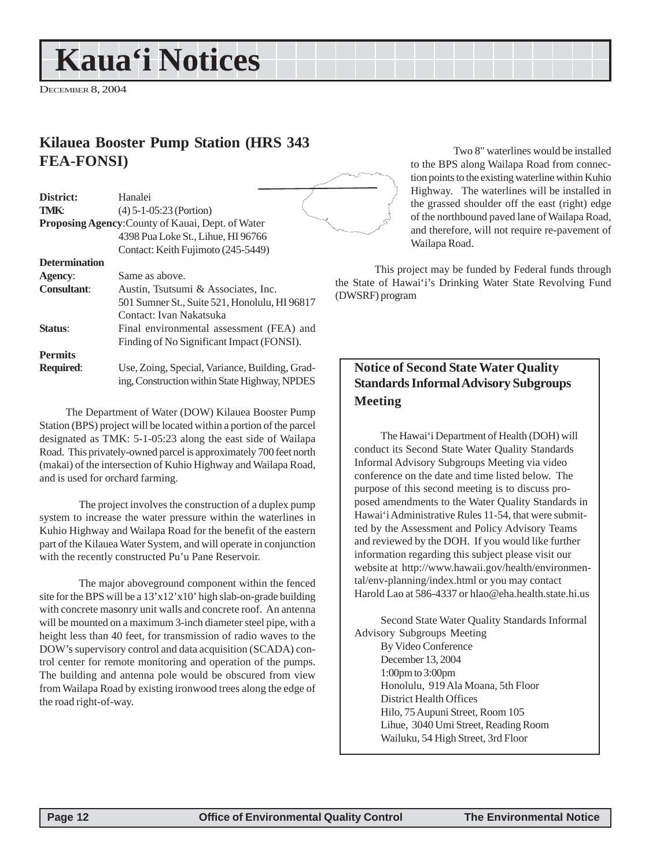## <span id="page-11-0"></span>**Kaua'i Notices**

DECEMBER 8, 2004

### **Kilauea Booster Pump Station (HRS 343 FEA-FONSI)**

| District:            | Hanalei                                           |       |
|----------------------|---------------------------------------------------|-------|
| <b>TMK:</b>          | $(4)$ 5-1-05:23 (Portion)                         |       |
|                      | Proposing Agency: County of Kauai, Dept. of Water |       |
|                      | 4398 Pua Loke St., Lihue, HI 96766                |       |
|                      | Contact: Keith Fujimoto (245-5449)                |       |
| <b>Determination</b> |                                                   |       |
| Agency:              | Same as above.                                    |       |
| <b>Consultant:</b>   | Austin, Tsutsumi & Associates, Inc.               | the S |
|                      | 501 Sumner St., Suite 521, Honolulu, HI 96817     | (DW:  |
|                      | Contact: Ivan Nakatsuka                           |       |
| Status:              | Final environmental assessment (FEA) and          |       |
|                      | Finding of No Significant Impact (FONSI).         |       |
| <b>Permits</b>       |                                                   |       |
| <b>Required:</b>     | Use, Zoing, Special, Variance, Building, Grad-    |       |
|                      | ing, Construction within State Highway, NPDES     |       |

The Department of Water (DOW) Kilauea Booster Pump Station (BPS) project will be located within a portion of the parcel designated as TMK: 5-1-05:23 along the east side of Wailapa Road. This privately-owned parcel is approximately 700 feet north (makai) of the intersection of Kuhio Highway and Wailapa Road, and is used for orchard farming.

The project involves the construction of a duplex pump system to increase the water pressure within the waterlines in Kuhio Highway and Wailapa Road for the benefit of the eastern part of the Kilauea Water System, and will operate in conjunction with the recently constructed Pu'u Pane Reservoir.

The major aboveground component within the fenced site for the BPS will be a 13'x12'x10' high slab-on-grade building with concrete masonry unit walls and concrete roof. An antenna will be mounted on a maximum 3-inch diameter steel pipe, with a height less than 40 feet, for transmission of radio waves to the DOW's supervisory control and data acquisition (SCADA) control center for remote monitoring and operation of the pumps. The building and antenna pole would be obscured from view from Wailapa Road by existing ironwood trees along the edge of the road right-of-way.



Two 8" waterlines would be installed to the BPS along Wailapa Road from connection points to the existing waterline within Kuhio Highway. The waterlines will be installed in the grassed shoulder off the east (right) edge of the northbound paved lane of Wailapa Road, and therefore, will not require re-pavement of Wailapa Road.

This project may be funded by Federal funds through Itate of Hawai'i's Drinking Water State Revolving Fund SRF) program

### **Notice of Second State Water Quality Standards Informal Advisory Subgroups Meeting**

The Hawai'i Department of Health (DOH) will conduct its Second State Water Quality Standards Informal Advisory Subgroups Meeting via video conference on the date and time listed below. The purpose of this second meeting is to discuss proposed amendments to the Water Quality Standards in Hawai'i Administrative Rules 11-54, that were submitted by the Assessment and Policy Advisory Teams and reviewed by the DOH. If you would like further information regarding this subject please visit our website at http://www.hawaii.gov/health/environmental/env-planning/index.html or you may contact Harold Lao at 586-4337 or hlao@eha.health.state.hi.us

Second State Water Quality Standards Informal Advisory Subgroups Meeting By Video Conference December 13, 2004 1:00pm to 3:00pm Honolulu, 919 Ala Moana, 5th Floor District Health Offices Hilo, 75 Aupuni Street, Room 105 Lihue, 3040 Umi Street, Reading Room Wailuku, 54 High Street, 3rd Floor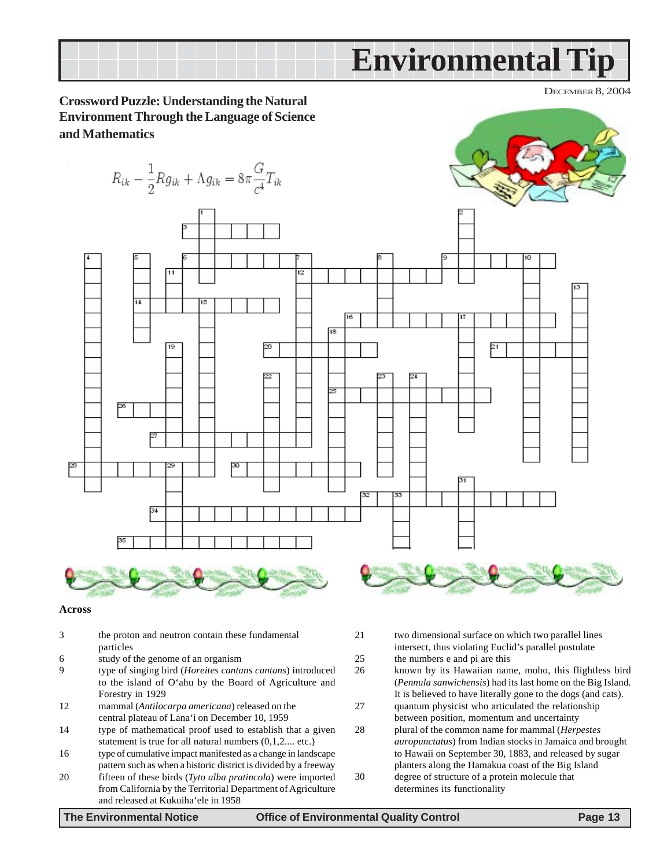<span id="page-12-0"></span>

### **Across**

- 3 the proton and neutron contain these fundamental particles
- 6 study of the genome of an organism
- 9 type of singing bird (*Horeites cantans cantans*) introduced to the island of O'ahu by the Board of Agriculture and Forestry in 1929
- 12 mammal (*Antilocarpa americana*) released on the central plateau of Lana'i on December 10, 1959
- 14 type of mathematical proof used to establish that a given statement is true for all natural numbers (0,1,2.... etc.)
- 16 type of cumulative impact manifested as a change in landscape pattern such as when a historic district is divided by a freeway
- 20 fifteen of these birds (*Tyto alba pratincola*) were imported from California by the Territorial Department of Agriculture and released at Kukuiha'ele in 1958
- 21 two dimensional surface on which two parallel lines intersect, thus violating Euclid's parallel postulate 25 the numbers e and pi are this
- 26 known by its Hawaiian name, moho, this flightless bird (*Pennula sanwichensis*) had its last home on the Big Island. It is believed to have literally gone to the dogs (and cats).
- 27 quantum physicist who articulated the relationship between position, momentum and uncertainty
- 28 plural of the common name for mammal (*Herpestes auropunctatus*) from Indian stocks in Jamaica and brought to Hawaii on September 30, 1883, and released by sugar planters along the Hamakua coast of the Big Island 30 degree of structure of a protein molecule that
- determines its functionality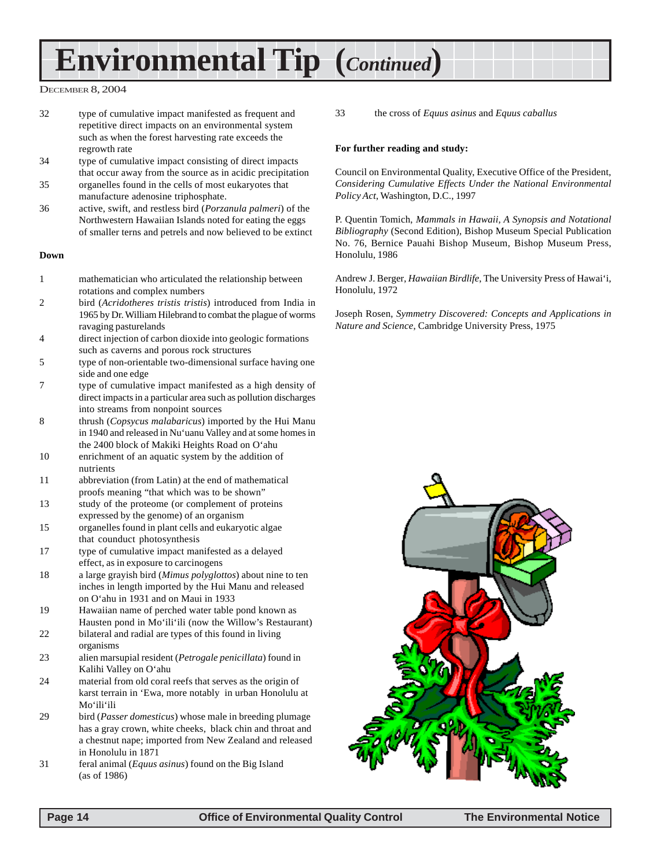## **Environmental Tip (***Continued***)**

### DECEMBER 8, 2004

- 32 type of cumulative impact manifested as frequent and repetitive direct impacts on an environmental system such as when the forest harvesting rate exceeds the regrowth rate
- 34 type of cumulative impact consisting of direct impacts that occur away from the source as in acidic precipitation
- 35 organelles found in the cells of most eukaryotes that manufacture adenosine triphosphate.
- 36 active, swift, and restless bird (*Porzanula palmeri*) of the Northwestern Hawaiian Islands noted for eating the eggs of smaller terns and petrels and now believed to be extinct

#### **Down**

- 1 mathematician who articulated the relationship between rotations and complex numbers
- 2 bird (*Acridotheres tristis tristis*) introduced from India in 1965 by Dr. William Hilebrand to combat the plague of worms ravaging pasturelands
- 4 direct injection of carbon dioxide into geologic formations such as caverns and porous rock structures
- 5 type of non-orientable two-dimensional surface having one side and one edge
- 7 type of cumulative impact manifested as a high density of direct impacts in a particular area such as pollution discharges into streams from nonpoint sources
- 8 thrush (*Copsycus malabaricus*) imported by the Hui Manu in 1940 and released in Nu'uanu Valley and at some homes in the 2400 block of Makiki Heights Road on O'ahu
- 10 enrichment of an aquatic system by the addition of nutrients
- 11 abbreviation (from Latin) at the end of mathematical proofs meaning "that which was to be shown"
- 13 study of the proteome (or complement of proteins expressed by the genome) of an organism
- 15 organelles found in plant cells and eukaryotic algae that counduct photosynthesis
- 17 type of cumulative impact manifested as a delayed effect, as in exposure to carcinogens
- 18 a large grayish bird (*Mimus polyglottos*) about nine to ten inches in length imported by the Hui Manu and released on O'ahu in 1931 and on Maui in 1933
- 19 Hawaiian name of perched water table pond known as Hausten pond in Mo'ili'ili (now the Willow's Restaurant)
- 22 bilateral and radial are types of this found in living organisms
- 23 alien marsupial resident (*Petrogale penicillata*) found in Kalihi Valley on O'ahu
- 24 material from old coral reefs that serves as the origin of karst terrain in 'Ewa, more notably in urban Honolulu at Mo'ili'ili
- 29 bird (*Passer domesticus*) whose male in breeding plumage has a gray crown, white cheeks, black chin and throat and a chestnut nape; imported from New Zealand and released in Honolulu in 1871
- 31 feral animal (*Equus asinus*) found on the Big Island (as of 1986)

33 the cross of *Equus asinus* and *Equus caballus*

### **For further reading and study:**

Council on Environmental Quality, Executive Office of the President, *Considering Cumulative Effects Under the National Environmental Policy Act*, Washington, D.C., 1997

P. Quentin Tomich, *Mammals in Hawaii, A Synopsis and Notational Bibliography* (Second Edition), Bishop Museum Special Publication No. 76, Bernice Pauahi Bishop Museum, Bishop Museum Press, Honolulu, 1986

Andrew J. Berger, *Hawaiian Birdlife*, The University Press of Hawai'i, Honolulu, 1972

Joseph Rosen, *Symmetry Discovered: Concepts and Applications in Nature and Science*, Cambridge University Press, 1975

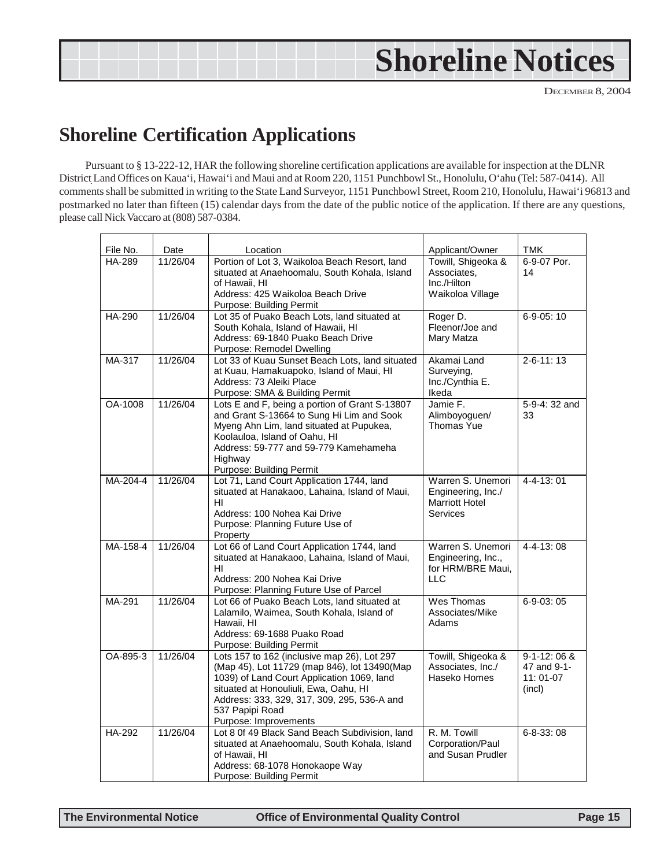<span id="page-14-0"></span>

## **Shoreline Certification Applications**

Pursuant to § 13-222-12, HAR the following shoreline certification applications are available for inspection at the DLNR District Land Offices on Kaua'i, Hawai'i and Maui and at Room 220, 1151 Punchbowl St., Honolulu, O'ahu (Tel: 587-0414). All comments shall be submitted in writing to the State Land Surveyor, 1151 Punchbowl Street, Room 210, Honolulu, Hawai'i 96813 and postmarked no later than fifteen (15) calendar days from the date of the public notice of the application. If there are any questions, please call Nick Vaccaro at (808) 587-0384.

| File No.<br>HA-289 | Date<br>11/26/04 | Location<br>Portion of Lot 3, Waikoloa Beach Resort, land<br>situated at Anaehoomalu, South Kohala, Island<br>of Hawaii, HI<br>Address: 425 Waikoloa Beach Drive<br>Purpose: Building Permit                                                                                  | Applicant/Owner<br>Towill, Shigeoka &<br>Associates.<br>Inc./Hilton<br>Waikoloa Village | TMK<br>6-9-07 Por.<br>14                             |
|--------------------|------------------|-------------------------------------------------------------------------------------------------------------------------------------------------------------------------------------------------------------------------------------------------------------------------------|-----------------------------------------------------------------------------------------|------------------------------------------------------|
| <b>HA-290</b>      | 11/26/04         | Lot 35 of Puako Beach Lots, land situated at<br>South Kohala, Island of Hawaii, HI<br>Address: 69-1840 Puako Beach Drive<br>Purpose: Remodel Dwelling                                                                                                                         | Roger D.<br>Fleenor/Joe and<br>Mary Matza                                               | $6 - 9 - 05:10$                                      |
| MA-317             | 11/26/04         | Lot 33 of Kuau Sunset Beach Lots, land situated<br>at Kuau, Hamakuapoko, Island of Maui, HI<br>Address: 73 Aleiki Place<br>Purpose: SMA & Building Permit                                                                                                                     | Akamai Land<br>Surveying,<br>Inc./Cynthia E.<br>Ikeda                                   | $2 - 6 - 11$ : 13                                    |
| OA-1008            | 11/26/04         | Lots E and F, being a portion of Grant S-13807<br>and Grant S-13664 to Sung Hi Lim and Sook<br>Myeng Ahn Lim, land situated at Pupukea,<br>Koolauloa, Island of Oahu, HI<br>Address: 59-777 and 59-779 Kamehameha<br>Highway<br>Purpose: Building Permit                      | Jamie F.<br>Alimboyoguen/<br>Thomas Yue                                                 | 5-9-4: 32 and<br>33                                  |
| MA-204-4           | 11/26/04         | Lot 71, Land Court Application 1744, land<br>situated at Hanakaoo, Lahaina, Island of Maui,<br>HI<br>Address: 100 Nohea Kai Drive<br>Purpose: Planning Future Use of<br>Property                                                                                              | Warren S. Unemori<br>Engineering, Inc./<br>Marriott Hotel<br><b>Services</b>            | $4 - 4 - 13$ : 01                                    |
| MA-158-4           | 11/26/04         | Lot 66 of Land Court Application 1744, land<br>situated at Hanakaoo, Lahaina, Island of Maui,<br>HI<br>Address: 200 Nohea Kai Drive<br>Purpose: Planning Future Use of Parcel                                                                                                 | Warren S. Unemori<br>Engineering, Inc.,<br>for HRM/BRE Maui,<br><b>LLC</b>              | $4 - 4 - 13$ : 08                                    |
| MA-291             | 11/26/04         | Lot 66 of Puako Beach Lots, land situated at<br>Lalamilo, Waimea, South Kohala, Island of<br>Hawaii, HI<br>Address: 69-1688 Puako Road<br>Purpose: Building Permit                                                                                                            | Wes Thomas<br>Associates/Mike<br>Adams                                                  | $6-9-03:05$                                          |
| OA-895-3           | 11/26/04         | Lots 157 to 162 (inclusive map 26), Lot 297<br>(Map 45), Lot 11729 (map 846), lot 13490(Map<br>1039) of Land Court Application 1069, land<br>situated at Honouliuli, Ewa, Oahu, HI<br>Address: 333, 329, 317, 309, 295, 536-A and<br>537 Papipi Road<br>Purpose: Improvements | Towill, Shigeoka &<br>Associates, Inc./<br>Haseko Homes                                 | $9-1-12:06 &$<br>47 and 9-1-<br>$11:01-07$<br>(incl) |
| <b>HA-292</b>      | 11/26/04         | Lot 8 Of 49 Black Sand Beach Subdivision, land<br>situated at Anaehoomalu, South Kohala, Island<br>of Hawaii, HI<br>Address: 68-1078 Honokaope Way<br>Purpose: Building Permit                                                                                                | R. M. Towill<br>Corporation/Paul<br>and Susan Prudler                                   | $6 - 8 - 33$ : 08                                    |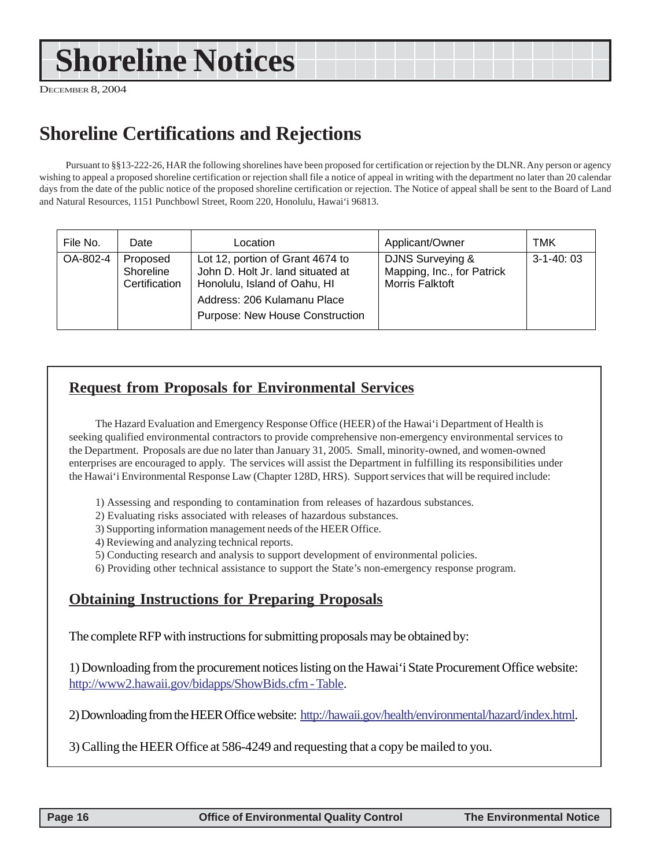## <span id="page-15-0"></span>**Shoreline Notices**

DECEMBER 8, 2004

## **Shoreline Certifications and Rejections**

Pursuant to §§13-222-26, HAR the following shorelines have been proposed for certification or rejection by the DLNR. Any person or agency wishing to appeal a proposed shoreline certification or rejection shall file a notice of appeal in writing with the department no later than 20 calendar days from the date of the public notice of the proposed shoreline certification or rejection. The Notice of appeal shall be sent to the Board of Land and Natural Resources, 1151 Punchbowl Street, Room 220, Honolulu, Hawai'i 96813.

| File No. | Date                                   | Location                                                                                                                                                                       | Applicant/Owner                                                          | TMK         |
|----------|----------------------------------------|--------------------------------------------------------------------------------------------------------------------------------------------------------------------------------|--------------------------------------------------------------------------|-------------|
| OA-802-4 | Proposed<br>Shoreline<br>Certification | Lot 12, portion of Grant 4674 to<br>John D. Holt Jr. land situated at<br>Honolulu, Island of Oahu, HI<br>Address: 206 Kulamanu Place<br><b>Purpose: New House Construction</b> | DJNS Surveying &<br>Mapping, Inc., for Patrick<br><b>Morris Falktoft</b> | $3-1-40:03$ |

## **Request from Proposals for Environmental Services**

The Hazard Evaluation and Emergency Response Office (HEER) of the Hawai'i Department of Health is seeking qualified environmental contractors to provide comprehensive non-emergency environmental services to the Department. Proposals are due no later than January 31, 2005. Small, minority-owned, and women-owned enterprises are encouraged to apply. The services will assist the Department in fulfilling its responsibilities under the Hawai'i Environmental Response Law (Chapter 128D, HRS). Support services that will be required include:

- 1) Assessing and responding to contamination from releases of hazardous substances.
- 2) Evaluating risks associated with releases of hazardous substances.
- 3) Supporting information management needs of the HEER Office.
- 4) Reviewing and analyzing technical reports.
- 5) Conducting research and analysis to support development of environmental policies.
- 6) Providing other technical assistance to support the State's non-emergency response program.

### **Obtaining Instructions for Preparing Proposals**

The complete RFP with instructions for submitting proposals may be obtained by:

1) Downloading from the procurement notices listing on the Hawai'i State Procurement Office website: http://www2.hawaii.gov/bidapps/ShowBids.cfm - Table.

2) Downloading from the HEER Office website: http://hawaii.gov/health/environmental/hazard/index.html.

3) Calling the HEER Office at 586-4249 and requesting that a copy be mailed to you.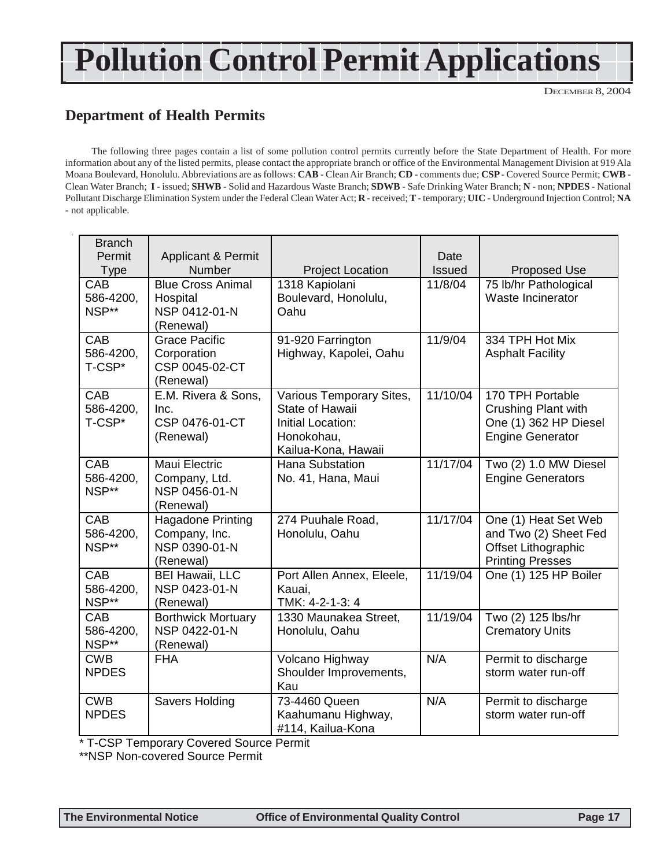# <span id="page-16-0"></span>**Pollution Control Permit Applications**

DECEMBER 8, 2004

## **Department of Health Permits**

The following three pages contain a list of some pollution control permits currently before the State Department of Health. For more information about any of the listed permits, please contact the appropriate branch or office of the Environmental Management Division at 919 Ala Moana Boulevard, Honolulu. Abbreviations are as follows: **CAB** - Clean Air Branch; **CD** - comments due; **CSP** - Covered Source Permit; **CWB** - Clean Water Branch; **I** - issued; **SHWB** - Solid and Hazardous Waste Branch; **SDWB** - Safe Drinking Water Branch; **N** - non; **NPDES** - National Pollutant Discharge Elimination System under the Federal Clean Water Act; **R** - received; **T** - temporary; **UIC** - Underground Injection Control; **NA** - not applicable.

| <b>Branch</b><br>Permit<br><b>Type</b> | <b>Applicant &amp; Permit</b><br>Number                                 | <b>Project Location</b>                                                                               | Date<br>Issued | Proposed Use                                                                                       |
|----------------------------------------|-------------------------------------------------------------------------|-------------------------------------------------------------------------------------------------------|----------------|----------------------------------------------------------------------------------------------------|
| CAB<br>586-4200,<br>NSP**              | <b>Blue Cross Animal</b><br>Hospital<br>NSP 0412-01-N<br>(Renewal)      | 1318 Kapiolani<br>Boulevard, Honolulu,<br>Oahu                                                        | 11/8/04        | 75 lb/hr Pathological<br>Waste Incinerator                                                         |
| CAB<br>586-4200,<br>T-CSP*             | <b>Grace Pacific</b><br>Corporation<br>CSP 0045-02-CT<br>(Renewal)      | 91-920 Farrington<br>Highway, Kapolei, Oahu                                                           | 11/9/04        | 334 TPH Hot Mix<br><b>Asphalt Facility</b>                                                         |
| CAB<br>586-4200,<br>T-CSP*             | E.M. Rivera & Sons,<br>Inc.<br>CSP 0476-01-CT<br>(Renewal)              | Various Temporary Sites,<br>State of Hawaii<br>Initial Location:<br>Honokohau,<br>Kailua-Kona, Hawaii | 11/10/04       | 170 TPH Portable<br><b>Crushing Plant with</b><br>One (1) 362 HP Diesel<br><b>Engine Generator</b> |
| CAB<br>586-4200,<br>NSP**              | Maui Electric<br>Company, Ltd.<br>NSP 0456-01-N<br>(Renewal)            | <b>Hana Substation</b><br>No. 41, Hana, Maui                                                          | 11/17/04       | Two (2) 1.0 MW Diesel<br><b>Engine Generators</b>                                                  |
| CAB<br>586-4200,<br>NSP**              | <b>Hagadone Printing</b><br>Company, Inc.<br>NSP 0390-01-N<br>(Renewal) | 274 Puuhale Road,<br>Honolulu, Oahu                                                                   | 11/17/04       | One (1) Heat Set Web<br>and Two (2) Sheet Fed<br>Offset Lithographic<br><b>Printing Presses</b>    |
| CAB<br>586-4200,<br>NSP**              | <b>BEI Hawaii, LLC</b><br>NSP 0423-01-N<br>(Renewal)                    | Port Allen Annex, Eleele,<br>Kauai,<br>TMK: 4-2-1-3: 4                                                | 11/19/04       | One (1) 125 HP Boiler                                                                              |
| CAB<br>586-4200,<br>NSP**              | <b>Borthwick Mortuary</b><br>NSP 0422-01-N<br>(Renewal)                 | 1330 Maunakea Street,<br>Honolulu, Oahu                                                               | 11/19/04       | Two (2) 125 lbs/hr<br><b>Crematory Units</b>                                                       |
| <b>CWB</b><br><b>NPDES</b>             | <b>FHA</b>                                                              | Volcano Highway<br>Shoulder Improvements,<br>Kau                                                      | N/A            | Permit to discharge<br>storm water run-off                                                         |
| <b>CWB</b><br><b>NPDES</b>             | <b>Savers Holding</b>                                                   | 73-4460 Queen<br>Kaahumanu Highway,<br>#114, Kailua-Kona                                              | N/A            | Permit to discharge<br>storm water run-off                                                         |

\* T-CSP Temporary Covered Source Permit

\*\*NSP Non-covered Source Permit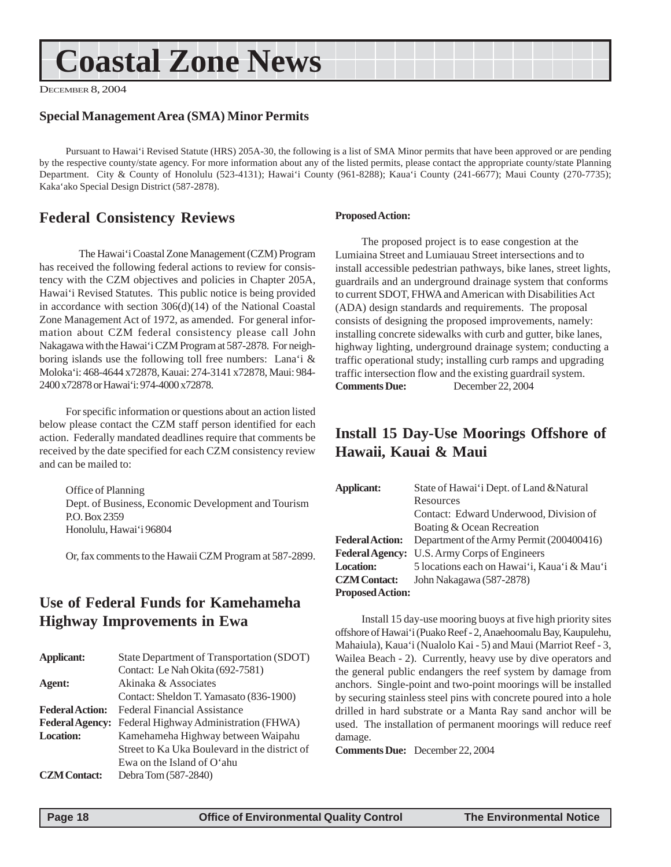## <span id="page-17-0"></span>**Coastal Zone News**

DECEMBER 8, 2004

### **Special Management Area (SMA) Minor Permits**

Pursuant to Hawai'i Revised Statute (HRS) 205A-30, the following is a list of SMA Minor permits that have been approved or are pending by the respective county/state agency. For more information about any of the listed permits, please contact the appropriate county/state Planning Department. City & County of Honolulu (523-4131); Hawai'i County (961-8288); Kaua'i County (241-6677); Maui County (270-7735); Kaka'ako Special Design District (587-2878).

### **Federal Consistency Reviews**

The Hawai'i Coastal Zone Management (CZM) Program has received the following federal actions to review for consistency with the CZM objectives and policies in Chapter 205A, Hawai'i Revised Statutes. This public notice is being provided in accordance with section 306(d)(14) of the National Coastal Zone Management Act of 1972, as amended. For general information about CZM federal consistency please call John Nakagawa with the Hawai'i CZM Program at 587-2878. For neighboring islands use the following toll free numbers: Lana'i & Moloka'i: 468-4644 x72878, Kauai: 274-3141 x72878, Maui: 984- 2400 x72878 or Hawai'i: 974-4000 x72878.

For specific information or questions about an action listed below please contact the CZM staff person identified for each action. Federally mandated deadlines require that comments be received by the date specified for each CZM consistency review and can be mailed to:

Office of Planning Dept. of Business, Economic Development and Tourism P.O. Box 2359 Honolulu, Hawai'i 96804

Or, fax comments to the Hawaii CZM Program at 587-2899.

### **Use of Federal Funds for Kamehameha Highway Improvements in Ewa**

| <b>Applicant:</b>      | State Department of Transportation (SDOT)     |
|------------------------|-----------------------------------------------|
|                        | Contact: Le Nah Okita (692-7581)              |
| Agent:                 | Akinaka & Associates                          |
|                        | Contact: Sheldon T. Yamasato (836-1900)       |
| <b>Federal Action:</b> | Federal Financial Assistance                  |
| <b>Federal Agency:</b> | Federal Highway Administration (FHWA)         |
| <b>Location:</b>       | Kamehameha Highway between Waipahu            |
|                        | Street to Ka Uka Boulevard in the district of |
|                        | Ewa on the Island of $O^*$ ahu                |
| <b>CZM</b> Contact:    | Debra Tom (587-2840)                          |

### **Proposed Action:**

The proposed project is to ease congestion at the Lumiaina Street and Lumiauau Street intersections and to install accessible pedestrian pathways, bike lanes, street lights, guardrails and an underground drainage system that conforms to current SDOT, FHWA and American with Disabilities Act (ADA) design standards and requirements. The proposal consists of designing the proposed improvements, namely: installing concrete sidewalks with curb and gutter, bike lanes, highway lighting, underground drainage system; conducting a traffic operational study; installing curb ramps and upgrading traffic intersection flow and the existing guardrail system. **Comments Due:** December 22, 2004

### **Install 15 Day-Use Moorings Offshore of Hawaii, Kauai & Maui**

| Applicant:              | State of Hawai'i Dept. of Land & Natural    |
|-------------------------|---------------------------------------------|
|                         | Resources                                   |
|                         | Contact: Edward Underwood, Division of      |
|                         | Boating & Ocean Recreation                  |
| <b>Federal Action:</b>  | Department of the Army Permit (200400416)   |
| <b>Federal Agency:</b>  | U.S. Army Corps of Engineers                |
| <b>Location:</b>        | 5 locations each on Hawai'i, Kaua'i & Mau'i |
| <b>CZM</b> Contact:     | John Nakagawa (587-2878)                    |
| <b>Proposed Action:</b> |                                             |

Install 15 day-use mooring buoys at five high priority sites offshore of Hawai'i (Puako Reef - 2, Anaehoomalu Bay, Kaupulehu, Mahaiula), Kaua'i (Nualolo Kai - 5) and Maui (Marriot Reef - 3, Wailea Beach - 2). Currently, heavy use by dive operators and the general public endangers the reef system by damage from anchors. Single-point and two-point moorings will be installed by securing stainless steel pins with concrete poured into a hole drilled in hard substrate or a Manta Ray sand anchor will be used. The installation of permanent moorings will reduce reef damage.

**Comments Due:** December 22, 2004